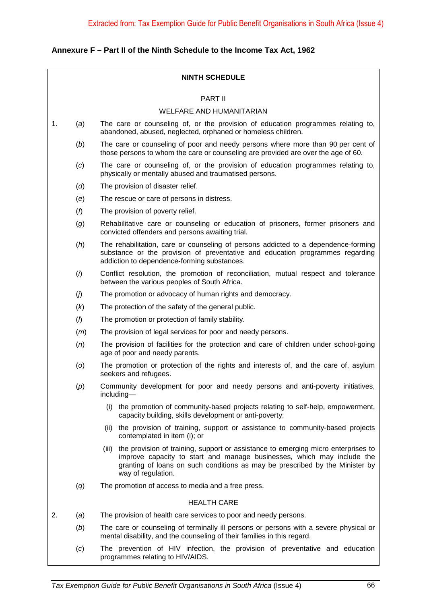## **Annexure F – Part II of the Ninth Schedule to the Income Tax Act, 1962**

|    |                   | <b>NINTH SCHEDULE</b>                                                                                                                                                                                                                                                   |
|----|-------------------|-------------------------------------------------------------------------------------------------------------------------------------------------------------------------------------------------------------------------------------------------------------------------|
|    |                   | <b>PART II</b>                                                                                                                                                                                                                                                          |
|    |                   | <b>WELFARE AND HUMANITARIAN</b>                                                                                                                                                                                                                                         |
| 1. | (a)               | The care or counseling of, or the provision of education programmes relating to,<br>abandoned, abused, neglected, orphaned or homeless children.                                                                                                                        |
|    | (b)               | The care or counseling of poor and needy persons where more than 90 per cent of<br>those persons to whom the care or counseling are provided are over the age of 60.                                                                                                    |
|    | (c)               | The care or counseling of, or the provision of education programmes relating to,<br>physically or mentally abused and traumatised persons.                                                                                                                              |
|    | (d)               | The provision of disaster relief.                                                                                                                                                                                                                                       |
|    | (e)               | The rescue or care of persons in distress.                                                                                                                                                                                                                              |
|    | (f)               | The provision of poverty relief.                                                                                                                                                                                                                                        |
|    | (g)               | Rehabilitative care or counseling or education of prisoners, former prisoners and<br>convicted offenders and persons awaiting trial.                                                                                                                                    |
|    | (h)               | The rehabilitation, care or counseling of persons addicted to a dependence-forming<br>substance or the provision of preventative and education programmes regarding<br>addiction to dependence-forming substances.                                                      |
|    | $\left( i\right)$ | Conflict resolution, the promotion of reconciliation, mutual respect and tolerance<br>between the various peoples of South Africa.                                                                                                                                      |
|    | $\omega$          | The promotion or advocacy of human rights and democracy.                                                                                                                                                                                                                |
|    | (k)               | The protection of the safety of the general public.                                                                                                                                                                                                                     |
|    | (                 | The promotion or protection of family stability.                                                                                                                                                                                                                        |
|    | (m)               | The provision of legal services for poor and needy persons.                                                                                                                                                                                                             |
|    | (n)               | The provision of facilities for the protection and care of children under school-going<br>age of poor and needy parents.                                                                                                                                                |
|    | (o)               | The promotion or protection of the rights and interests of, and the care of, asylum<br>seekers and refugees.                                                                                                                                                            |
|    | (p)               | Community development for poor and needy persons and anti-poverty initiatives,<br>including-                                                                                                                                                                            |
|    |                   | (i) the promotion of community-based projects relating to self-help, empowerment,<br>capacity building, skills development or anti-poverty;                                                                                                                             |
|    |                   | (ii) the provision of training, support or assistance to community-based projects<br>contemplated in item (i); or                                                                                                                                                       |
|    |                   | (iii) the provision of training, support or assistance to emerging micro enterprises to<br>improve capacity to start and manage businesses, which may include the<br>granting of loans on such conditions as may be prescribed by the Minister by<br>way of regulation. |
|    | (q)               | The promotion of access to media and a free press.                                                                                                                                                                                                                      |
|    |                   | <b>HEALTH CARE</b>                                                                                                                                                                                                                                                      |
| 2. | (a)               | The provision of health care services to poor and needy persons.                                                                                                                                                                                                        |
|    | (b)               | The care or counseling of terminally ill persons or persons with a severe physical or<br>mental disability, and the counseling of their families in this regard.                                                                                                        |
|    | (c)               | The prevention of HIV infection, the provision of preventative and education<br>programmes relating to HIV/AIDS.                                                                                                                                                        |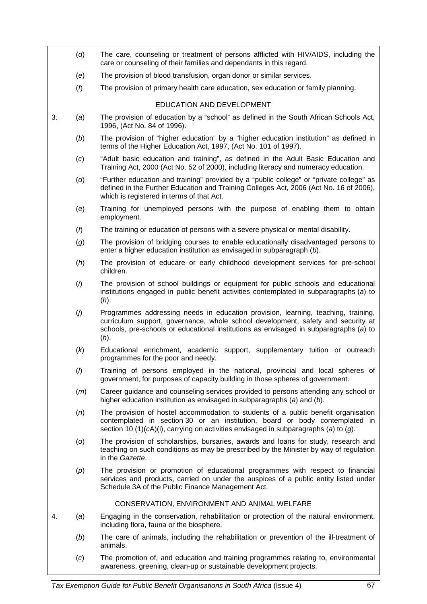|    | (d)               | The care, counseling or treatment of persons afflicted with HIV/AIDS, including the<br>care or counseling of their families and dependants in this regard.                                                                                                                |
|----|-------------------|---------------------------------------------------------------------------------------------------------------------------------------------------------------------------------------------------------------------------------------------------------------------------|
|    | (e)               | The provision of blood transfusion, organ donor or similar services.                                                                                                                                                                                                      |
|    | (f)               | The provision of primary health care education, sex education or family planning.                                                                                                                                                                                         |
|    |                   | EDUCATION AND DEVELOPMENT                                                                                                                                                                                                                                                 |
| 3. | (a)               | The provision of education by a "school" as defined in the South African Schools Act,<br>1996, (Act No. 84 of 1996).                                                                                                                                                      |
|    | (b)               | The provision of "higher education" by a "higher education institution" as defined in<br>terms of the Higher Education Act, 1997, (Act No. 101 of 1997).                                                                                                                  |
|    | (c)               | "Adult basic education and training", as defined in the Adult Basic Education and<br>Training Act, 2000 (Act No. 52 of 2000), including literacy and numeracy education.                                                                                                  |
|    | (d)               | "Further education and training" provided by a "public college" or "private college" as<br>defined in the Further Education and Training Colleges Act, 2006 (Act No. 16 of 2006),<br>which is registered in terms of that Act.                                            |
|    | (e)               | Training for unemployed persons with the purpose of enabling them to obtain<br>employment.                                                                                                                                                                                |
|    | (f)               | The training or education of persons with a severe physical or mental disability.                                                                                                                                                                                         |
|    | (g)               | The provision of bridging courses to enable educationally disadvantaged persons to<br>enter a higher education institution as envisaged in subparagraph (b).                                                                                                              |
|    | (h)               | The provision of educare or early childhood development services for pre-school<br>children.                                                                                                                                                                              |
|    | $\left( i\right)$ | The provision of school buildings or equipment for public schools and educational<br>institutions engaged in public benefit activities contemplated in subparagraphs (a) to<br>$(h)$ .                                                                                    |
|    | (j)               | Programmes addressing needs in education provision, learning, teaching, training,<br>curriculum support, governance, whole school development, safety and security at<br>schools, pre-schools or educational institutions as envisaged in subparagraphs (a) to<br>$(h)$ . |
|    | (k)               | Educational enrichment, academic support, supplementary tuition or outreach<br>programmes for the poor and needy.                                                                                                                                                         |
|    | (                 | Training of persons employed in the national, provincial and local spheres of<br>government, for purposes of capacity building in those spheres of government.                                                                                                            |
|    | (m)               | Career guidance and counseling services provided to persons attending any school or<br>higher education institution as envisaged in subparagraphs (a) and $(b)$ .                                                                                                         |
|    | (n)               | The provision of hostel accommodation to students of a public benefit organisation<br>contemplated in section 30 or an institution, board or body contemplated in<br>section 10 (1)( $cA$ )(i), carrying on activities envisaged in subparagraphs (a) to (g).             |
|    | (o)               | The provision of scholarships, bursaries, awards and loans for study, research and<br>teaching on such conditions as may be prescribed by the Minister by way of regulation<br>in the Gazette.                                                                            |
|    | (p)               | The provision or promotion of educational programmes with respect to financial<br>services and products, carried on under the auspices of a public entity listed under<br>Schedule 3A of the Public Finance Management Act.                                               |
|    |                   | CONSERVATION, ENVIRONMENT AND ANIMAL WELFARE                                                                                                                                                                                                                              |
| 4. | (a)               | Engaging in the conservation, rehabilitation or protection of the natural environment,<br>including flora, fauna or the biosphere.                                                                                                                                        |
|    | (b)               | The care of animals, including the rehabilitation or prevention of the ill-treatment of<br>animals.                                                                                                                                                                       |
|    | (c)               | The promotion of, and education and training programmes relating to, environmental                                                                                                                                                                                        |

awareness, greening, clean-up or sustainable development projects.